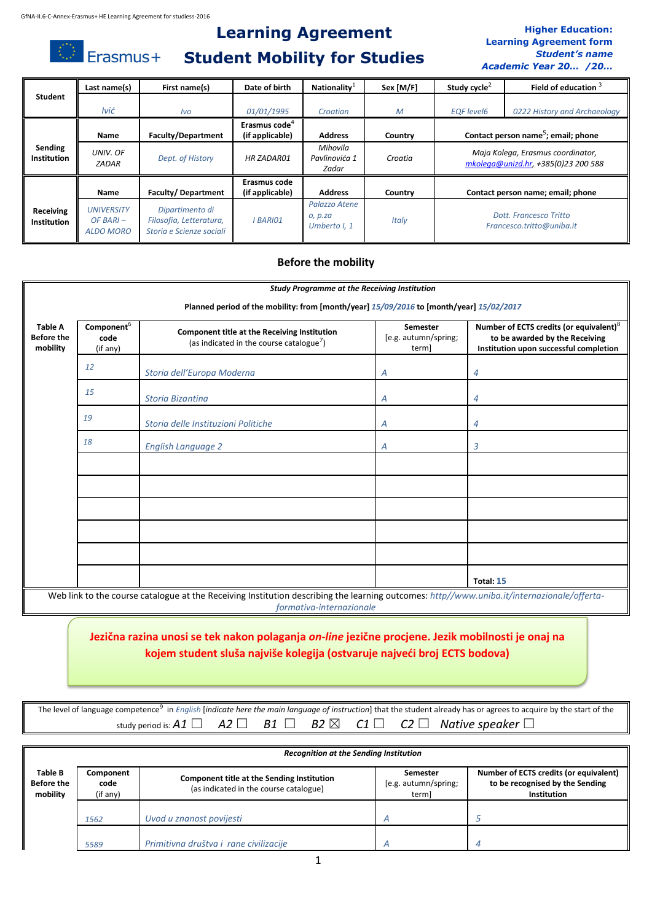Erasmus+

## **Learning Agreement Student Mobility for Studies**

### **Higher Education: Learning Agreement form** *Student's name Academic Year 20… /20…*

|                          | Last name(s)                                  | First name(s)                                                          | Date of birth                   | Nationality <sup>1</sup>                 | Sex [M/F] | Study cycle <sup><math>\angle</math></sup>          | Field of education <sup>3</sup>                                          |
|--------------------------|-----------------------------------------------|------------------------------------------------------------------------|---------------------------------|------------------------------------------|-----------|-----------------------------------------------------|--------------------------------------------------------------------------|
| Student                  |                                               |                                                                        |                                 |                                          |           |                                                     |                                                                          |
|                          | Ivić                                          | <i>lvo</i>                                                             | 01/01/1995                      | Croatian                                 | M         | <b>EQF</b> level6                                   | 0222 History and Archaeology                                             |
|                          |                                               |                                                                        | Erasmus code <sup>4</sup>       |                                          |           |                                                     |                                                                          |
|                          | <b>Name</b>                                   | <b>Faculty/Department</b>                                              | (if applicable)                 | <b>Address</b>                           | Country   | Contact person name <sup>5</sup> ; email; phone     |                                                                          |
| Sending<br>Institution   | UNIV. OF<br><b>ZADAR</b>                      | Dept. of History                                                       | <b>HR ZADAR01</b>               | Mihovila<br>Pavlinovića 1<br>Zadar       | Croatia   |                                                     | Maja Kolega, Erasmus coordinator,<br>mkolega@unizd.hr, +385(0)23 200 588 |
|                          | Name                                          | Faculty/Department                                                     | Erasmus code<br>(if applicable) | <b>Address</b>                           | Country   | Contact person name; email; phone                   |                                                                          |
| Receiving<br>Institution | <b>UNIVERSITY</b><br>$OF BARI -$<br>ALDO MORO | Dipartimento di<br>Filosofia, Letteratura,<br>Storia e Scienze sociali | <b>BARIO1</b>                   | Palazzo Atene<br>O, p.ZQ<br>Umberto I, 1 | Italy     | Dott, Francesco Tritto<br>Francesco.tritto@uniba.it |                                                                          |

## **Before the mobility**

|                                                 |                                                                                         | <b>Study Programme at the Receiving Institution</b>                                                                                                                    |                                                  |                                                                                                                                 |  |  |  |  |
|-------------------------------------------------|-----------------------------------------------------------------------------------------|------------------------------------------------------------------------------------------------------------------------------------------------------------------------|--------------------------------------------------|---------------------------------------------------------------------------------------------------------------------------------|--|--|--|--|
|                                                 | Planned period of the mobility: from [month/year] 15/09/2016 to [month/year] 15/02/2017 |                                                                                                                                                                        |                                                  |                                                                                                                                 |  |  |  |  |
| <b>Table A</b><br><b>Before the</b><br>mobility | Component <sup>6</sup><br>code<br>(if any)                                              | Component title at the Receiving Institution<br>(as indicated in the course catalogue <sup>7</sup> )                                                                   | <b>Semester</b><br>[e.g. autumn/spring;<br>term] | Number of ECTS credits (or equivalent) <sup>8</sup><br>to be awarded by the Receiving<br>Institution upon successful completion |  |  |  |  |
|                                                 | 12                                                                                      | Storia dell'Europa Moderna                                                                                                                                             | Α                                                | 4                                                                                                                               |  |  |  |  |
|                                                 | 15                                                                                      | <b>Storia Bizantina</b>                                                                                                                                                | A                                                | 4                                                                                                                               |  |  |  |  |
|                                                 | 19                                                                                      | Storia delle Instituzioni Politiche                                                                                                                                    | A                                                | 4                                                                                                                               |  |  |  |  |
|                                                 | 18                                                                                      | <b>English Language 2</b>                                                                                                                                              | A                                                | 3                                                                                                                               |  |  |  |  |
|                                                 |                                                                                         |                                                                                                                                                                        |                                                  |                                                                                                                                 |  |  |  |  |
|                                                 |                                                                                         |                                                                                                                                                                        |                                                  |                                                                                                                                 |  |  |  |  |
|                                                 |                                                                                         |                                                                                                                                                                        |                                                  |                                                                                                                                 |  |  |  |  |
|                                                 |                                                                                         |                                                                                                                                                                        |                                                  |                                                                                                                                 |  |  |  |  |
|                                                 |                                                                                         |                                                                                                                                                                        |                                                  |                                                                                                                                 |  |  |  |  |
|                                                 |                                                                                         |                                                                                                                                                                        |                                                  | Total: 15                                                                                                                       |  |  |  |  |
|                                                 |                                                                                         | Web link to the course catalogue at the Receiving Institution describing the learning outcomes: http//www.uniba.it/internazionale/offerta-<br>formativa-internazionale |                                                  |                                                                                                                                 |  |  |  |  |

## **Jezična razina unosi se tek nakon polaganja** *on-line* **jezične procjene. Jezik mobilnosti je onaj na kojem student sluša najviše kolegija (ostvaruje najveći broj ECTS bodova)**

|  |  |  | The level of language competence <sup>9</sup> in <i>English [indicate here the main language of instruction</i> ] that the student already has or agrees to acquire by the start of the |
|--|--|--|-----------------------------------------------------------------------------------------------------------------------------------------------------------------------------------------|
|  |  |  | study period is: A1 $\Box$ A2 $\Box$ B1 $\Box$ B2 $\boxtimes$ C1 $\Box$ C2 $\Box$ Native speaker $\Box$                                                                                 |

|                                          | <b>Recognition at the Sending Institution</b> |                                                                                             |                                           |                                                                                          |  |  |  |  |
|------------------------------------------|-----------------------------------------------|---------------------------------------------------------------------------------------------|-------------------------------------------|------------------------------------------------------------------------------------------|--|--|--|--|
| Table B<br><b>Before the</b><br>mobility | Component<br>code<br>(if any)                 | <b>Component title at the Sending Institution</b><br>(as indicated in the course catalogue) | Semester<br>[e.g. autumn/spring;<br>terml | Number of ECTS credits (or equivalent)<br>to be recognised by the Sending<br>Institution |  |  |  |  |
| 1562                                     |                                               | Uvod u znanost povijesti                                                                    |                                           |                                                                                          |  |  |  |  |
|                                          | 5589                                          | Primitivna društva i rane civilizacije                                                      |                                           |                                                                                          |  |  |  |  |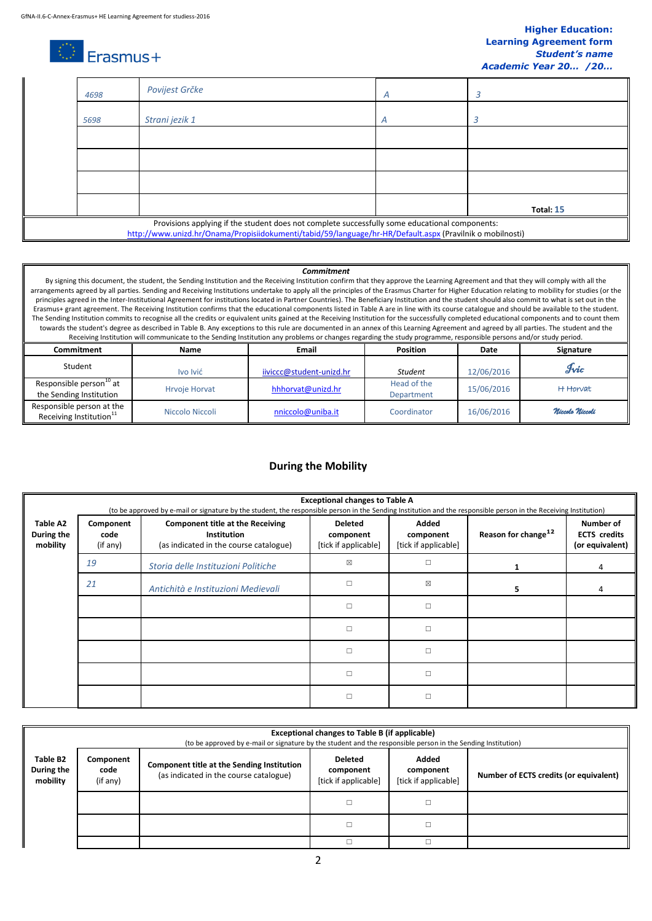### **Higher Education: Learning Agreement form** *Student's name Academic Year 20… /20…*

# $\circledcirc$  Erasmus+

| 4698                                                                                                                                                                                                        | Povijest Grčke | A |           |  |  |
|-------------------------------------------------------------------------------------------------------------------------------------------------------------------------------------------------------------|----------------|---|-----------|--|--|
| 5698                                                                                                                                                                                                        | Strani jezik 1 | А |           |  |  |
|                                                                                                                                                                                                             |                |   |           |  |  |
|                                                                                                                                                                                                             |                |   |           |  |  |
|                                                                                                                                                                                                             |                |   |           |  |  |
|                                                                                                                                                                                                             |                |   | Total: 15 |  |  |
| Provisions applying if the student does not complete successfully some educational components:<br>http://www.unizd.hr/Onama/Propisiidokumenti/tabid/59/language/hr-HR/Default.aspx (Pravilnik o mobilnosti) |                |   |           |  |  |

#### *Commitment*

By signing this document, the student, the Sending Institution and the Receiving Institution confirm that they approve the Learning Agreement and that they will comply with all the arrangements agreed by all parties. Sending and Receiving Institutions undertake to apply all the principles of the Erasmus Charter for Higher Education relating to mobility for studies (or the principles agreed in the Inter-Institutional Agreement for institutions located in Partner Countries). The Beneficiary Institution and the student should also commit to what is set out in the Erasmus+ grant agreement. The Receiving Institution confirms that the educational components listed in Table A are in line with its course catalogue and should be available to the student. The Sending Institution commits to recognise all the credits or equivalent units gained at the Receiving Institution for the successfully completed educational components and to count them towards the student's degree as described in Table B. Any exceptions to this rule are documented in an annex of this Learning Agreement and agreed by all parties. The student and the Receiving Institution will communicate to the Sending Institution any problems or changes regarding the study programme, responsible persons and/or study period. **Commitment Name Email Position Date Signature** Student 12/06/2016 **IVO IVI**ć in the **Indian Ivice of The Ivice of Student Student** 12/06/2016 **Ivic** 

|                                                                  | <b>IVO IVIC</b>      | $IIVICICUWSUUQUETIL-UIILU. III$ | мииет                     | TZ/UD/ZUID | .               |
|------------------------------------------------------------------|----------------------|---------------------------------|---------------------------|------------|-----------------|
| Responsible person <sup>to</sup> at<br>the Sending Institution   | <b>Hrvoie Horvat</b> | hhhorvat@unizd.hr               | Head of the<br>Department | 15/06/2016 | H Horvat        |
| Responsible person at the<br>Receiving Institution <sup>11</sup> | Niccolo Niccoli      | nniccolo@uniba.it               | Coordinator               | 16/06/2016 | Niccolo Niccoli |

## **During the Mobility**

|                                    | <b>Exceptional changes to Table A</b><br>(to be approved by e-mail or signature by the student, the responsible person in the Sending Institution and the responsible person in the Receiving Institution) |                                                                                                         |                                                     |                                            |                                 |                                                     |  |  |
|------------------------------------|------------------------------------------------------------------------------------------------------------------------------------------------------------------------------------------------------------|---------------------------------------------------------------------------------------------------------|-----------------------------------------------------|--------------------------------------------|---------------------------------|-----------------------------------------------------|--|--|
| Table A2<br>During the<br>mobility | Component<br>code<br>(if any)                                                                                                                                                                              | <b>Component title at the Receiving</b><br><b>Institution</b><br>(as indicated in the course catalogue) | <b>Deleted</b><br>component<br>[tick if applicable] | Added<br>component<br>[tick if applicable] | Reason for change <sup>12</sup> | Number of<br><b>ECTS</b> credits<br>(or equivalent) |  |  |
|                                    | 19                                                                                                                                                                                                         | Storia delle Instituzioni Politiche                                                                     | ⊠                                                   | $\Box$                                     |                                 | 4                                                   |  |  |
|                                    | 21                                                                                                                                                                                                         | Antichità e Instituzioni Medievali                                                                      | $\Box$                                              | ⊠                                          |                                 |                                                     |  |  |
|                                    |                                                                                                                                                                                                            |                                                                                                         | $\Box$                                              | $\Box$                                     |                                 |                                                     |  |  |
|                                    |                                                                                                                                                                                                            |                                                                                                         | $\Box$                                              | $\Box$                                     |                                 |                                                     |  |  |
|                                    |                                                                                                                                                                                                            |                                                                                                         | $\Box$                                              | $\Box$                                     |                                 |                                                     |  |  |
|                                    |                                                                                                                                                                                                            |                                                                                                         | $\Box$                                              | $\Box$                                     |                                 |                                                     |  |  |
|                                    |                                                                                                                                                                                                            |                                                                                                         | $\Box$                                              | П                                          |                                 |                                                     |  |  |

|                                    | <b>Exceptional changes to Table B (if applicable)</b><br>(to be approved by e-mail or signature by the student and the responsible person in the Sending Institution) |                                                                                      |                                                     |                                            |                                        |  |  |  |
|------------------------------------|-----------------------------------------------------------------------------------------------------------------------------------------------------------------------|--------------------------------------------------------------------------------------|-----------------------------------------------------|--------------------------------------------|----------------------------------------|--|--|--|
| Table B2<br>During the<br>mobility | Component<br>code<br>(if any)                                                                                                                                         | Component title at the Sending Institution<br>(as indicated in the course catalogue) | <b>Deleted</b><br>component<br>[tick if applicable] | Added<br>component<br>[tick if applicable] | Number of ECTS credits (or equivalent) |  |  |  |
|                                    |                                                                                                                                                                       |                                                                                      |                                                     |                                            |                                        |  |  |  |
|                                    |                                                                                                                                                                       |                                                                                      |                                                     |                                            |                                        |  |  |  |
|                                    |                                                                                                                                                                       |                                                                                      |                                                     |                                            |                                        |  |  |  |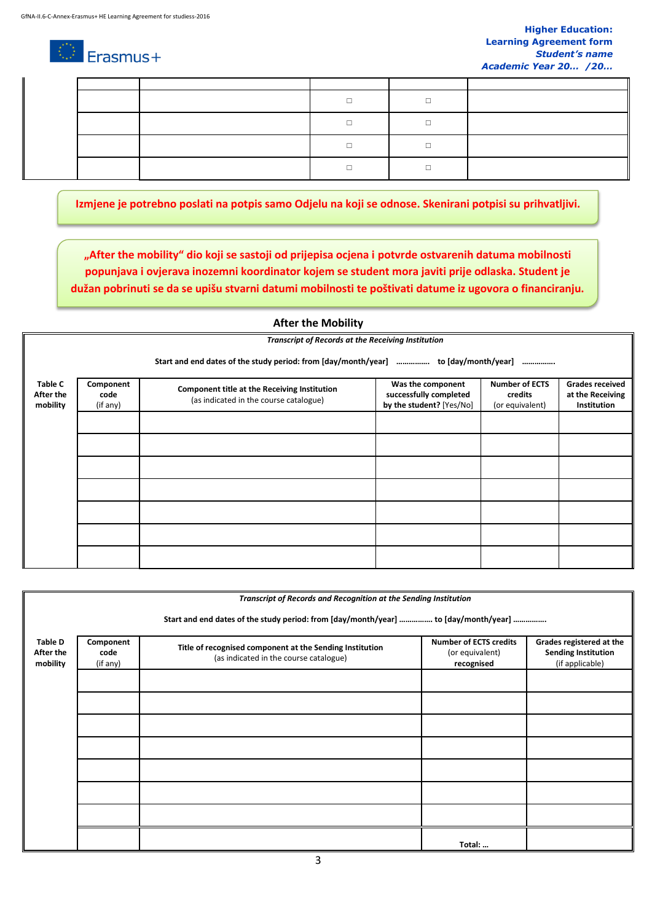### A T Erasmus+

**Izmjene je potrebno poslati na potpis samo Odjelu na koji se odnose. Skenirani potpisi su prihvatljivi.**

**"After the mobility" dio koji se sastoji od prijepisa ocjena i potvrde ostvarenih datuma mobilnosti popunjava i ovjerava inozemni koordinator kojem se student mora javiti prije odlaska. Student je dužan pobrinuti se da se upišu stvarni datumi mobilnosti te poštivati datume iz ugovora o financiranju.** 

## **After the Mobility**

*Transcript of Records at the Receiving Institution*

**Start and end dates of the study period: from [day/month/year] ……………. to [day/month/year] …………….**

| <b>Table C</b> | Component |                                              | Was the component        | <b>Number of ECTS</b> | <b>Grades received</b> |
|----------------|-----------|----------------------------------------------|--------------------------|-----------------------|------------------------|
| After the      | code      | Component title at the Receiving Institution | successfully completed   | credits               | at the Receiving       |
| mobility       | (if any)  | (as indicated in the course catalogue)       | by the student? [Yes/No] | (or equivalent)       | Institution            |
|                |           |                                              |                          |                       |                        |
|                |           |                                              |                          |                       |                        |
|                |           |                                              |                          |                       |                        |
|                |           |                                              |                          |                       |                        |
|                |           |                                              |                          |                       |                        |
|                |           |                                              |                          |                       |                        |
|                |           |                                              |                          |                       |                        |
|                |           |                                              |                          |                       |                        |
|                |           |                                              |                          |                       |                        |
|                |           |                                              |                          |                       |                        |
|                |           |                                              |                          |                       |                        |
|                |           |                                              |                          |                       |                        |

|                                         |                                                                                     | Transcript of Records and Recognition at the Sending Institution                                   |                                                                |                                                                           |  |  |  |  |  |
|-----------------------------------------|-------------------------------------------------------------------------------------|----------------------------------------------------------------------------------------------------|----------------------------------------------------------------|---------------------------------------------------------------------------|--|--|--|--|--|
|                                         |                                                                                     |                                                                                                    |                                                                |                                                                           |  |  |  |  |  |
|                                         | Start and end dates of the study period: from [day/month/year]  to [day/month/year] |                                                                                                    |                                                                |                                                                           |  |  |  |  |  |
| <b>Table D</b><br>After the<br>mobility | Component<br>code<br>(if any)                                                       | Title of recognised component at the Sending Institution<br>(as indicated in the course catalogue) | <b>Number of ECTS credits</b><br>(or equivalent)<br>recognised | Grades registered at the<br><b>Sending Institution</b><br>(if applicable) |  |  |  |  |  |
|                                         |                                                                                     |                                                                                                    |                                                                |                                                                           |  |  |  |  |  |
|                                         |                                                                                     |                                                                                                    |                                                                |                                                                           |  |  |  |  |  |
|                                         |                                                                                     |                                                                                                    |                                                                |                                                                           |  |  |  |  |  |
|                                         |                                                                                     |                                                                                                    |                                                                |                                                                           |  |  |  |  |  |
|                                         |                                                                                     |                                                                                                    |                                                                |                                                                           |  |  |  |  |  |
|                                         |                                                                                     |                                                                                                    |                                                                |                                                                           |  |  |  |  |  |
|                                         |                                                                                     |                                                                                                    |                                                                |                                                                           |  |  |  |  |  |
|                                         |                                                                                     |                                                                                                    |                                                                |                                                                           |  |  |  |  |  |
|                                         |                                                                                     |                                                                                                    | Total:                                                         |                                                                           |  |  |  |  |  |